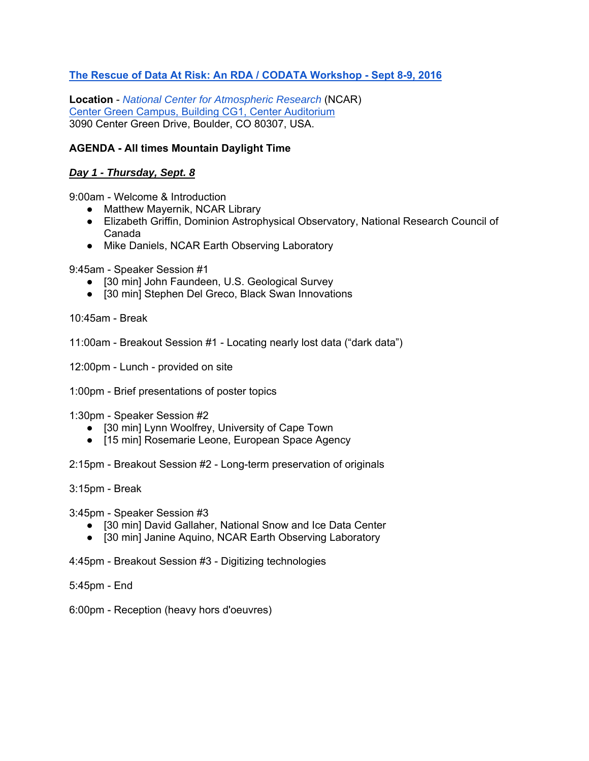## **The Rescue of Data At Risk: An RDA / CODATA Workshop - Sept 8-9, 2016**

**Location** - *National Center for Atmospheric Research* (NCAR) Center Green Campus, Building CG1, Center Auditorium 3090 Center Green Drive, Boulder, CO 80307, USA.

## **AGENDA - All times Mountain Daylight Time**

## *Day 1 - Thursday, Sept. 8*

9:00am - Welcome & Introduction

- Matthew Mayernik, NCAR Library
- Elizabeth Griffin, Dominion Astrophysical Observatory, National Research Council of Canada
- Mike Daniels, NCAR Earth Observing Laboratory

9:45am - Speaker Session #1

- [30 min] John Faundeen, U.S. Geological Survey
- [30 min] Stephen Del Greco, Black Swan Innovations

10:45am - Break

11:00am - Breakout Session #1 - Locating nearly lost data ("dark data")

12:00pm - Lunch - provided on site

1:00pm - Brief presentations of poster topics

1:30pm - Speaker Session #2

- [30 min] Lynn Woolfrey, University of Cape Town
- [15 min] Rosemarie Leone, European Space Agency

2:15pm - Breakout Session #2 - Long-term preservation of originals

3:15pm - Break

3:45pm - Speaker Session #3

- [30 min] David Gallaher, National Snow and Ice Data Center
- [30 min] Janine Aquino, NCAR Earth Observing Laboratory

4:45pm - Breakout Session #3 - Digitizing technologies

5:45pm - End

6:00pm - Reception (heavy hors d'oeuvres)